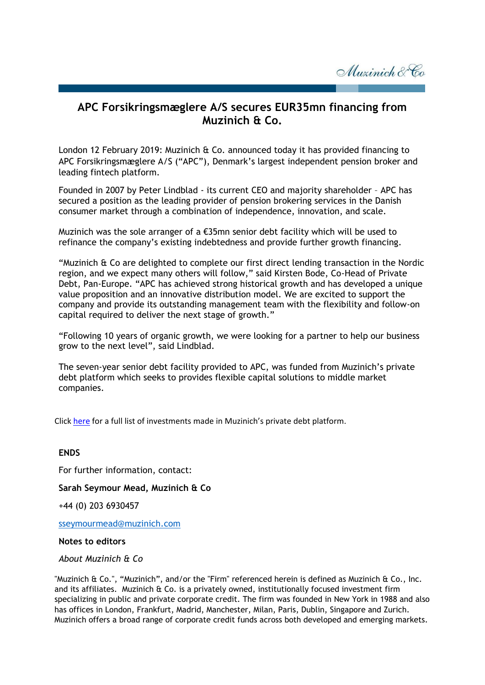Muzinich & Co

## **APC Forsikringsmæglere A/S secures EUR35mn financing from Muzinich & Co.**

London 12 February 2019: Muzinich & Co. announced today it has provided financing to APC Forsikringsmæglere A/S ("APC"), Denmark's largest independent pension broker and leading fintech platform.

Founded in 2007 by Peter Lindblad - its current CEO and majority shareholder – APC has secured a position as the leading provider of pension brokering services in the Danish consumer market through a combination of independence, innovation, and scale.

Muzinich was the sole arranger of a €35mn senior debt facility which will be used to refinance the company's existing indebtedness and provide further growth financing.

"Muzinich & Co are delighted to complete our first direct lending transaction in the Nordic region, and we expect many others will follow," said Kirsten Bode, Co-Head of Private Debt, Pan-Europe. "APC has achieved strong historical growth and has developed a unique value proposition and an innovative distribution model. We are excited to support the company and provide its outstanding management team with the flexibility and follow-on capital required to deliver the next stage of growth."

"Following 10 years of organic growth, we were looking for a partner to help our business grow to the next level", said Lindblad.

The seven-year senior debt facility provided to APC, was funded from Muzinich's private debt platform which seeks to provides flexible capital solutions to middle market companies.

Click [here](https://www.muzinichprivatedebt.com/investments/) for a full list of investments made in Muzinich's private debt platform.

## **ENDS** For further information, contact: **Sarah Seymour Mead, Muzinich & Co** +44 (0) 203 6930457 [sseymourmead@muzinich.com](mailto:sseymourmead@muzinich.com)

## **Notes to editors**

## *About Muzinich & Co*

"Muzinich & Co.", "Muzinich", and/or the "Firm" referenced herein is defined as Muzinich & Co., Inc. and its affiliates. Muzinich & Co. is a privately owned, institutionally focused investment firm specializing in public and private corporate credit. The firm was founded in New York in 1988 and also has offices in London, Frankfurt, Madrid, Manchester, Milan, Paris, Dublin, Singapore and Zurich. Muzinich offers a broad range of corporate credit funds across both developed and emerging markets.